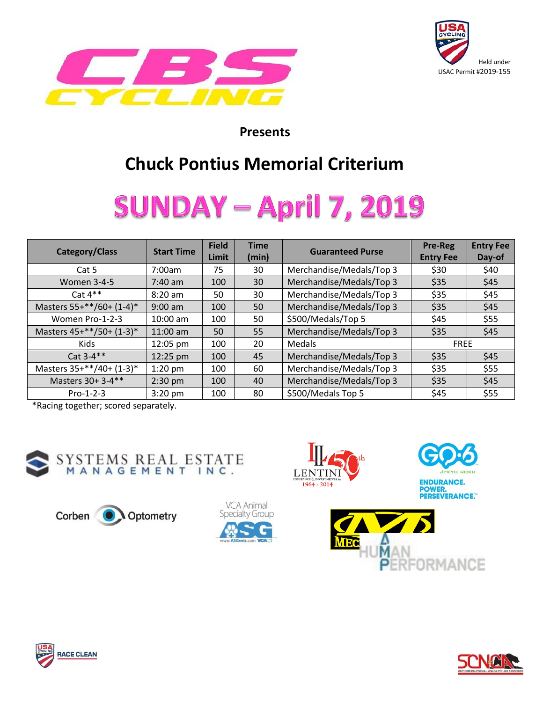



#### **Presents**

### **Chuck Pontius Memorial Criterium**

# **SUNDAY – April 7, 2019**

| <b>Category/Class</b>    | <b>Start Time</b> | <b>Field</b><br>Limit | <b>Time</b><br>(min) | <b>Guaranteed Purse</b>  | Pre-Reg<br><b>Entry Fee</b> | <b>Entry Fee</b><br>Day-of |
|--------------------------|-------------------|-----------------------|----------------------|--------------------------|-----------------------------|----------------------------|
| Cat 5                    | 7:00am            | 75                    | 30                   | Merchandise/Medals/Top 3 | \$30                        | \$40                       |
| <b>Women 3-4-5</b>       | $7:40 \text{ am}$ | 100                   | 30                   | Merchandise/Medals/Top 3 | \$35                        | \$45                       |
| Cat $4**$                | $8:20$ am         | 50                    | 30                   | Merchandise/Medals/Top 3 | \$35                        | \$45                       |
| Masters 55+**/60+ (1-4)* | $9:00$ am         | 100                   | 50                   | Merchandise/Medals/Top 3 | \$35                        | \$45                       |
| Women Pro-1-2-3          | $10:00$ am        | 100                   | 50                   | \$500/Medals/Top 5       | \$45                        | \$55                       |
| Masters 45+**/50+ (1-3)* | 11:00 am          | 50                    | 55                   | Merchandise/Medals/Top 3 | \$35                        | \$45                       |
| <b>Kids</b>              | 12:05 pm          | 100                   | 20                   | <b>Medals</b>            | <b>FREE</b>                 |                            |
| Cat 3-4**                | 12:25 pm          | 100                   | 45                   | Merchandise/Medals/Top 3 | \$35                        | \$45                       |
| Masters 35+**/40+ (1-3)* | $1:20$ pm         | 100                   | 60                   | Merchandise/Medals/Top 3 | \$35                        | \$55                       |
| Masters 30+ 3-4**        | $2:30$ pm         | 100                   | 40                   | Merchandise/Medals/Top 3 | \$35                        | \$45                       |
| $Pro-1-2-3$              | $3:20$ pm         | 100                   | 80                   | \$500/Medals Top 5       | \$45                        | \$55                       |

\*Racing together; scored separately.